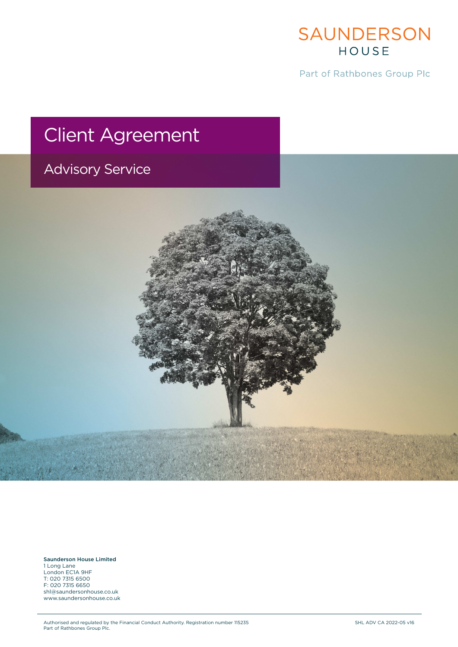

Part of Rathbones Group Plc

# Client Agreement

## Advisory Service

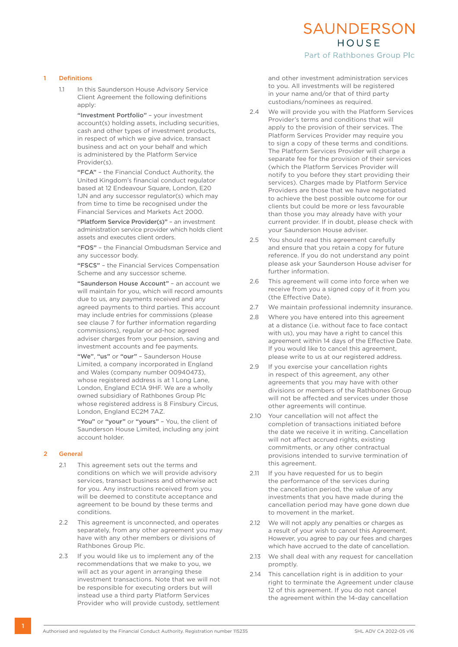### SAUNDERSON HOUSE

Part of Rathbones Group Plc

#### 1 Definitions

1.1 In this Saunderson House Advisory Service Client Agreement the following definitions apply:

> "Investment Portfolio" – your investment account(s) holding assets, including securities, cash and other types of investment products, in respect of which we give advice, transact business and act on your behalf and which is administered by the Platform Service Provider(s).

> "FCA" – the Financial Conduct Authority, the United Kingdom's financial conduct regulator based at 12 Endeavour Square, London, E20 1JN and any successor regulator(s) which may from time to time be recognised under the Financial Services and Markets Act 2000.

 "Platform Service Provider(s)" – an investment administration service provider which holds client assets and executes client orders.

 "FOS" – the Financial Ombudsman Service and any successor body.

 "FSCS" – the Financial Services Compensation Scheme and any successor scheme.

 "Saunderson House Account" – an account we will maintain for you, which will record amounts due to us, any payments received and any agreed payments to third parties. This account may include entries for commissions (please see clause 7 for further information regarding commissions), regular or ad-hoc agreed adviser charges from your pension, saving and investment accounts and fee payments.

"We", "us" or "our" - Saunderson House Limited, a company incorporated in England and Wales (company number 00940473), whose registered address is at 1 Long Lane, London, England EC1A 9HF. We are a wholly owned subsidiary of Rathbones Group Plc whose registered address is 8 Finsbury Circus, London, England EC2M 7AZ.

"You" or "your" or "yours" - You, the client of Saunderson House Limited, including any joint account holder.

#### 2 General

- 2.1 This agreement sets out the terms and conditions on which we will provide advisory services, transact business and otherwise act for you. Any instructions received from you will be deemed to constitute acceptance and agreement to be bound by these terms and conditions.
- 2.2 This agreement is unconnected, and operates separately, from any other agreement you may have with any other members or divisions of Rathbones Group Plc.
- 2.3 If you would like us to implement any of the recommendations that we make to you, we will act as your agent in arranging these investment transactions. Note that we will not be responsible for executing orders but will instead use a third party Platform Services Provider who will provide custody, settlement

and other investment administration services to you. All investments will be registered in your name and/or that of third party custodians/nominees as required.

- 2.4 We will provide you with the Platform Services Provider's terms and conditions that will apply to the provision of their services. The Platform Services Provider may require you to sign a copy of these terms and conditions. The Platform Services Provider will charge a separate fee for the provision of their services (which the Platform Services Provider will notify to you before they start providing their services). Charges made by Platform Service Providers are those that we have negotiated to achieve the best possible outcome for our clients but could be more or less favourable than those you may already have with your current provider. If in doubt, please check with your Saunderson House adviser.
- 2.5 You should read this agreement carefully and ensure that you retain a copy for future reference. If you do not understand any point please ask your Saunderson House adviser for further information.
- 2.6 This agreement will come into force when we receive from you a signed copy of it from you (the Effective Date).
- 2.7 We maintain professional indemnity insurance.
- 2.8 Where you have entered into this agreement at a distance (i.e. without face to face contact with us), you may have a right to cancel this agreement within 14 days of the Effective Date. If you would like to cancel this agreement, please write to us at our registered address.
- 2.9 If you exercise your cancellation rights in respect of this agreement, any other agreements that you may have with other divisions or members of the Rathbones Group will not be affected and services under those other agreements will continue.
- 2.10 Your cancellation will not affect the completion of transactions initiated before the date we receive it in writing. Cancellation will not affect accrued rights, existing commitments, or any other contractual provisions intended to survive termination of this agreement.
- 2.11 If you have requested for us to begin the performance of the services during the cancellation period, the value of any investments that you have made during the cancellation period may have gone down due to movement in the market.
- 2.12 We will not apply any penalties or charges as a result of your wish to cancel this Agreement. However, you agree to pay our fees and charges which have accrued to the date of cancellation.
- 2.13 We shall deal with any request for cancellation promptly.
- 2.14 This cancellation right is in addition to your right to terminate the Agreement under clause 12 of this agreement. If you do not cancel the agreement within the 14-day cancellation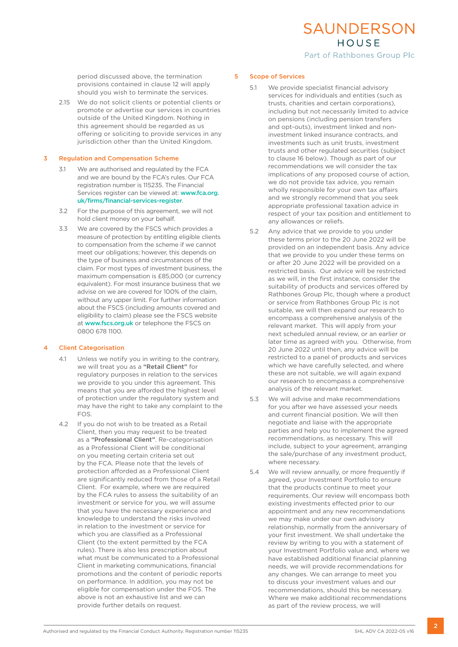HOUSE Part of Rathbones Group Plc

SAUNDERSON

period discussed above, the termination provisions contained in clause 12 will apply should you wish to terminate the services.

2.15 We do not solicit clients or potential clients or promote or advertise our services in countries outside of the United Kingdom. Nothing in this agreement should be regarded as us offering or soliciting to provide services in any jurisdiction other than the United Kingdom.

#### 3 Regulation and Compensation Scheme

- 3.1 We are authorised and regulated by the FCA and we are bound by the FCA's rules. Our FCA registration number is 115235. The Financial Services register can be viewed at: www.fca.org. uk/firms/financial-services-register.
- 3.2 For the purpose of this agreement, we will not hold client money on your behalf.
- 3.3 We are covered by the FSCS which provides a measure of protection by entitling eligible clients to compensation from the scheme if we cannot meet our obligations; however, this depends on the type of business and circumstances of the claim. For most types of investment business, the maximum compensation is £85,000 (or currency equivalent). For most insurance business that we advise on we are covered for 100% of the claim, without any upper limit. For further information about the FSCS (including amounts covered and eligibility to claim) please see the FSCS website at www.fscs.org.uk or telephone the FSCS on 0800 678 1100.

#### 4 Client Categorisation

- 4.1 Unless we notify you in writing to the contrary, we will treat you as a "Retail Client" for regulatory purposes in relation to the services we provide to you under this agreement. This means that you are afforded the highest level of protection under the regulatory system and may have the right to take any complaint to the FOS.
- 4.2 If you do not wish to be treated as a Retail Client, then you may request to be treated as a "Professional Client". Re-categorisation as a Professional Client will be conditional on you meeting certain criteria set out by the FCA. Please note that the levels of protection afforded as a Professional Client are significantly reduced from those of a Retail Client. For example, where we are required by the FCA rules to assess the suitability of an investment or service for you, we will assume that you have the necessary experience and knowledge to understand the risks involved in relation to the investment or service for which you are classified as a Professional Client (to the extent permitted by the FCA rules). There is also less prescription about what must be communicated to a Professional Client in marketing communications, financial promotions and the content of periodic reports on performance. In addition, you may not be eligible for compensation under the FOS. The above is not an exhaustive list and we can provide further details on request.

#### 5 Scope of Services

- 5.1 We provide specialist financial advisory services for individuals and entities (such as trusts, charities and certain corporations), including but not necessarily limited to advice on pensions (including pension transfers and opt-outs), investment linked and noninvestment linked insurance contracts, and investments such as unit trusts, investment trusts and other regulated securities (subject to clause 16 below). Though as part of our recommendations we will consider the tax implications of any proposed course of action, we do not provide tax advice, you remain wholly responsible for your own tax affairs and we strongly recommend that you seek appropriate professional taxation advice in respect of your tax position and entitlement to any allowances or reliefs.
- 5.2 Any advice that we provide to you under these terms prior to the 20 June 2022 will be provided on an independent basis. Any advice that we provide to you under these terms on or after 20 June 2022 will be provided on a restricted basis. Our advice will be restricted as we will, in the first instance, consider the suitability of products and services offered by Rathbones Group Plc, though where a product or service from Rathbones Group Plc is not suitable, we will then expand our research to encompass a comprehensive analysis of the relevant market. This will apply from your next scheduled annual review, or an earlier or later time as agreed with you. Otherwise, from 20 June 2022 until then, any advice will be restricted to a panel of products and services which we have carefully selected, and where these are not suitable, we will again expand our research to encompass a comprehensive analysis of the relevant market.
- 5.3 We will advise and make recommendations for you after we have assessed your needs and current financial position. We will then negotiate and liaise with the appropriate parties and help you to implement the agreed recommendations, as necessary. This will include, subject to your agreement, arranging the sale/purchase of any investment product, where necessary.
- 5.4 We will review annually, or more frequently if agreed, your Investment Portfolio to ensure that the products continue to meet your requirements. Our review will encompass both existing investments effected prior to our appointment and any new recommendations we may make under our own advisory relationship, normally from the anniversary of your first investment. We shall undertake the review by writing to you with a statement of your Investment Portfolio value and, where we have established additional financial planning needs, we will provide recommendations for any changes. We can arrange to meet you to discuss your investment values and our recommendations, should this be necessary. Where we make additional recommendations as part of the review process, we will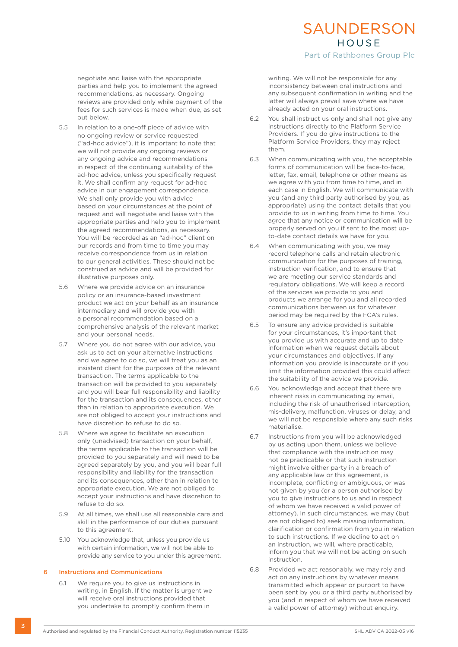#### HOUSE Part of Rathbones Group Plc

SAUNDERSON

negotiate and liaise with the appropriate parties and help you to implement the agreed recommendations, as necessary. Ongoing reviews are provided only while payment of the fees for such services is made when due, as set out below.

- 5.5 In relation to a one-off piece of advice with no ongoing review or service requested ("ad-hoc advice"), it is important to note that we will not provide any ongoing reviews or any ongoing advice and recommendations in respect of the continuing suitability of the ad-hoc advice, unless you specifically request it. We shall confirm any request for ad-hoc advice in our engagement correspondence. We shall only provide you with advice based on your circumstances at the point of request and will negotiate and liaise with the appropriate parties and help you to implement the agreed recommendations, as necessary. You will be recorded as an "ad-hoc" client on our records and from time to time you may receive correspondence from us in relation to our general activities. These should not be construed as advice and will be provided for illustrative purposes only.
- 5.6 Where we provide advice on an insurance policy or an insurance-based investment product we act on your behalf as an insurance intermediary and will provide you with a personal recommendation based on a comprehensive analysis of the relevant market and your personal needs.
- 5.7 Where you do not agree with our advice, you ask us to act on your alternative instructions and we agree to do so, we will treat you as an insistent client for the purposes of the relevant transaction. The terms applicable to the transaction will be provided to you separately and you will bear full responsibility and liability for the transaction and its consequences, other than in relation to appropriate execution. We are not obliged to accept your instructions and have discretion to refuse to do so.
- 5.8 Where we agree to facilitate an execution only (unadvised) transaction on your behalf, the terms applicable to the transaction will be provided to you separately and will need to be agreed separately by you, and you will bear full responsibility and liability for the transaction and its consequences, other than in relation to appropriate execution. We are not obliged to accept your instructions and have discretion to refuse to do so.
- 5.9 At all times, we shall use all reasonable care and skill in the performance of our duties pursuant to this agreement.
- 5.10 You acknowledge that, unless you provide us with certain information, we will not be able to provide any service to you under this agreement.

#### 6 Instructions and Communications

6.1 We require you to give us instructions in writing, in English. If the matter is urgent we will receive oral instructions provided that you undertake to promptly confirm them in

writing. We will not be responsible for any inconsistency between oral instructions and any subsequent confirmation in writing and the latter will always prevail save where we have already acted on your oral instructions.

- 6.2 You shall instruct us only and shall not give any instructions directly to the Platform Service Providers. If you do give instructions to the Platform Service Providers, they may reject them.
- 6.3 When communicating with you, the acceptable forms of communication will be face-to-face, letter, fax, email, telephone or other means as we agree with you from time to time, and in each case in English. We will communicate with you (and any third party authorised by you, as appropriate) using the contact details that you provide to us in writing from time to time. You agree that any notice or communication will be properly served on you if sent to the most upto-date contact details we have for you.
- 6.4 When communicating with you, we may record telephone calls and retain electronic communication for the purposes of training, instruction verification, and to ensure that we are meeting our service standards and regulatory obligations. We will keep a record of the services we provide to you and products we arrange for you and all recorded communications between us for whatever period may be required by the FCA's rules.
- 6.5 To ensure any advice provided is suitable for your circumstances, it's important that you provide us with accurate and up to date information when we request details about your circumstances and objectives. If any information you provide is inaccurate or if you limit the information provided this could affect the suitability of the advice we provide.
- 6.6 You acknowledge and accept that there are inherent risks in communicating by email, including the risk of unauthorised interception, mis-delivery, malfunction, viruses or delay, and we will not be responsible where any such risks materialise.
- 6.7 Instructions from you will be acknowledged by us acting upon them, unless we believe that compliance with the instruction may not be practicable or that such instruction might involve either party in a breach of any applicable law or this agreement, is incomplete, conflicting or ambiguous, or was not given by you (or a person authorised by you to give instructions to us and in respect of whom we have received a valid power of attorney). In such circumstances, we may (but are not obliged to) seek missing information, clarification or confirmation from you in relation to such instructions. If we decline to act on an instruction, we will, where practicable, inform you that we will not be acting on such instruction.
- 6.8 Provided we act reasonably, we may rely and act on any instructions by whatever means transmitted which appear or purport to have been sent by you or a third party authorised by you (and in respect of whom we have received a valid power of attorney) without enquiry.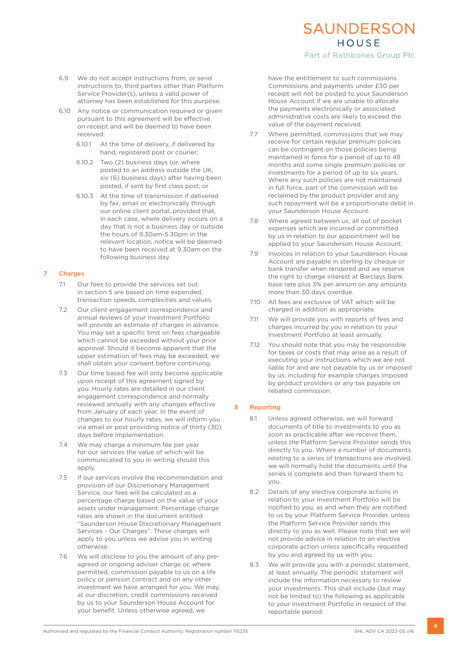- 6.9 We do not accept instructions from, or send instructions to, third parties other than Platform Service Provider(s), unless a valid power of attorney has been established for this purpose.
- 6.10 Any notice or communication required or given pursuant to this agreement will be effective on receipt and will be deemed to have been received:
	- 6.10.1 At the time of delivery, if delivered by hand, registered post or courier;
	- 6.10.2 Two (2) business days (or, where posted to an address outside the UK, six (6) business days) after having been posted, if sent by first class post; or
	- 6.10.3 At the time of transmission if delivered by fax, email or electronically through our online client portal, provided that, in each case, where delivery occurs on a day that is not a business day or outside the hours of 9.30am-5.30pm in the relevant location, notice will be deemed to have been received at 9.30am on the following business day.

#### 7 Charges

- 7.1 Our fees to provide the services set out in section 5 are based on time expended, transaction speeds, complexities and values.
- 7.2 Our client engagement correspondence and annual reviews of your Investment Portfolio will provide an estimate of charges in advance. You may set a specific limit on fees chargeable which cannot be exceeded without your prior approval. Should it become apparent that the upper estimation of fees may be exceeded, we shall obtain your consent before continuing.
- 7.3 Our time based fee will only become applicable upon receipt of this agreement signed by you. Hourly rates are detailed in our client engagement correspondence and normally reviewed annually with any changes effective from January of each year. In the event of changes to our hourly rates, we will inform you via email or post providing notice of thirty (30) days before implementation.
- 7.4 We may charge a minimum fee per year for our services the value of which will be communicated to you in writing should this apply.
- 7.5 If our services involve the recommendation and provision of our Discretionary Management Service, our fees will be calculated as a percentage charge based on the value of your assets under management. Percentage charge rates are shown in the document entitled "Saunderson House Discretionary Management Services - Our Charges". These charges will apply to you unless we advise you in writing otherwise.
- 7.6 We will disclose to you the amount of any preagreed or ongoing adviser charge or, where permitted, commission payable to us on a life policy or pension contract and on any other investment we have arranged for you. We may, at our discretion, credit commissions received by us to your Saunderson House Account for your benefit. Unless otherwise agreed, we

## SAUNDERSON HOUSE

Part of Rathbones Group Plc

have the entitlement to such commissions. Commissions and payments under £30 per receipt will not be posted to your Saunderson House Account if we are unable to allocate the payments electronically or associated administrative costs are likely to exceed the value of the payment received.

- 7.7 Where permitted, commissions that we may receive for certain regular premium policies can be contingent on those policies being maintained in force for a period of up to 48 months and some single premium policies or investments for a period of up to six years. Where any such policies are not maintained in full force, part of the commission will be reclaimed by the product provider and any such repayment will be a proportionate debit in your Saunderson House Account.
- 7.8 Where agreed between us, all out of pocket expenses which are incurred or committed by us in relation to our appointment will be applied to your Saunderson House Account.
- 7.9 Invoices in relation to your Saunderson House Account are payable in sterling by cheque or bank transfer when rendered and we reserve the right to charge interest at Barclays Bank base rate plus 3% per annum on any amounts more than 30 days overdue.
- 7.10 All fees are exclusive of VAT which will be charged in addition as appropriate.
- 7.11 We will provide you with reports of fees and charges incurred by you in relation to your Investment Portfolio at least annually.
- 7.12 You should note that you may be responsible for taxes or costs that may arise as a result of executing your instructions which we are not liable for and are not payable by us or imposed by us, including for example charges imposed by product providers or any tax payable on rebated commission.

#### 8 Reporting

- 8.1 Unless agreed otherwise, we will forward documents of title to investments to you as soon as practicable after we receive them, unless the Platform Service Provider sends this directly to you. Where a number of documents relating to a series of transactions are involved, we will normally hold the documents until the series is complete and then forward them to you.
- 8.2 Details of any elective corporate actions in relation to your Investment Portfolio will be notified to you, as and when they are notified to us by your Platform Service Provider, unless the Platform Service Provider sends this directly to you as well. Please note that we will not provide advice in relation to an elective corporate action unless specifically requested by you and agreed by us with you.
- 8.3 We will provide you with a periodic statement, at least annually. The periodic statement will include the information necessary to review your investments. This shall include (but may not be limited to) the following as applicable to your Investment Portfolio in respect of the reportable period: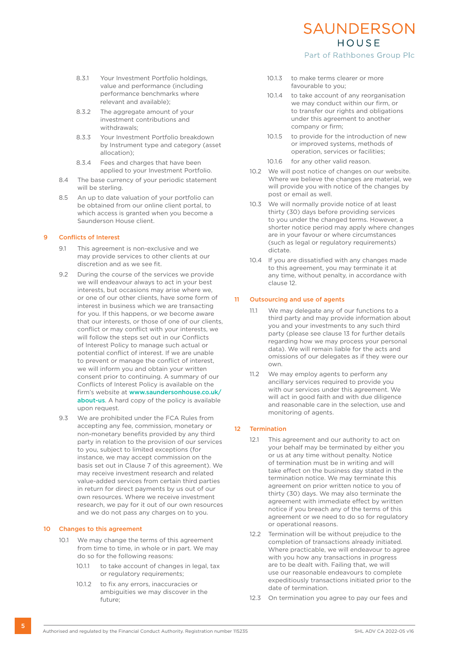- 8.3.1 Your Investment Portfolio holdings, value and performance (including performance benchmarks where relevant and available);
- 8.3.2 The aggregate amount of your investment contributions and withdrawals;
- 8.3.3 Your Investment Portfolio breakdown by Instrument type and category (asset allocation);
- 8.3.4 Fees and charges that have been applied to your Investment Portfolio.
- 8.4 The base currency of your periodic statement will be sterling.
- 8.5 An up to date valuation of your portfolio can be obtained from our online client portal, to which access is granted when you become a Saunderson House client.

#### 9 Conflicts of Interest

- 9.1 This agreement is non-exclusive and we may provide services to other clients at our discretion and as we see fit.
- 9.2 During the course of the services we provide we will endeavour always to act in your best interests, but occasions may arise where we, or one of our other clients, have some form of interest in business which we are transacting for you. If this happens, or we become aware that our interests, or those of one of our clients, conflict or may conflict with your interests, we will follow the steps set out in our Conflicts of Interest Policy to manage such actual or potential conflict of interest. If we are unable to prevent or manage the conflict of interest, we will inform you and obtain your written consent prior to continuing. A summary of our Conflicts of Interest Policy is available on the firm's website at www.saundersonhouse.co.uk/ about-us. A hard copy of the policy is available upon request.
- 9.3 We are prohibited under the FCA Rules from accepting any fee, commission, monetary or non-monetary benefits provided by any third party in relation to the provision of our services to you, subject to limited exceptions (for instance, we may accept commission on the basis set out in Clause 7 of this agreement). We may receive investment research and related value-added services from certain third parties in return for direct payments by us out of our own resources. Where we receive investment research, we pay for it out of our own resources and we do not pass any charges on to you.

#### 10 Changes to this agreement

- 10.1 We may change the terms of this agreement from time to time, in whole or in part. We may do so for the following reasons:
	- 10.1.1 to take account of changes in legal, tax or regulatory requirements;
	- 10.1.2 to fix any errors, inaccuracies or ambiguities we may discover in the future;
- 10.1.3 to make terms clearer or more favourable to you;
- 10.1.4 to take account of any reorganisation we may conduct within our firm, or to transfer our rights and obligations under this agreement to another company or firm;

SAUNDERSON HOUSE Part of Rathbones Group Plc

- 10.1.5 to provide for the introduction of new or improved systems, methods of operation, services or facilities;
- 10.1.6 for any other valid reason.
- 10.2 We will post notice of changes on our website. Where we believe the changes are material, we will provide you with notice of the changes by post or email as well.
- 10.3 We will normally provide notice of at least thirty (30) days before providing services to you under the changed terms. However, a shorter notice period may apply where changes are in your favour or where circumstances (such as legal or regulatory requirements) dictate.
- 10.4 If you are dissatisfied with any changes made to this agreement, you may terminate it at any time, without penalty, in accordance with clause 12.

#### 11 Outsourcing and use of agents

- 11.1 We may delegate any of our functions to a third party and may provide information about you and your investments to any such third party (please see clause 13 for further details regarding how we may process your personal data). We will remain liable for the acts and omissions of our delegates as if they were our own.
- 11.2 We may employ agents to perform any ancillary services required to provide you with our services under this agreement. We will act in good faith and with due diligence and reasonable care in the selection, use and monitoring of agents.

#### 12 Termination

- 12.1 This agreement and our authority to act on your behalf may be terminated by either you or us at any time without penalty. Notice of termination must be in writing and will take effect on the business day stated in the termination notice. We may terminate this agreement on prior written notice to you of thirty (30) days. We may also terminate the agreement with immediate effect by written notice if you breach any of the terms of this agreement or we need to do so for regulatory or operational reasons.
- 12.2 Termination will be without prejudice to the completion of transactions already initiated. Where practicable, we will endeavour to agree with you how any transactions in progress are to be dealt with. Failing that, we will use our reasonable endeavours to complete expeditiously transactions initiated prior to the date of termination.
- 12.3 On termination you agree to pay our fees and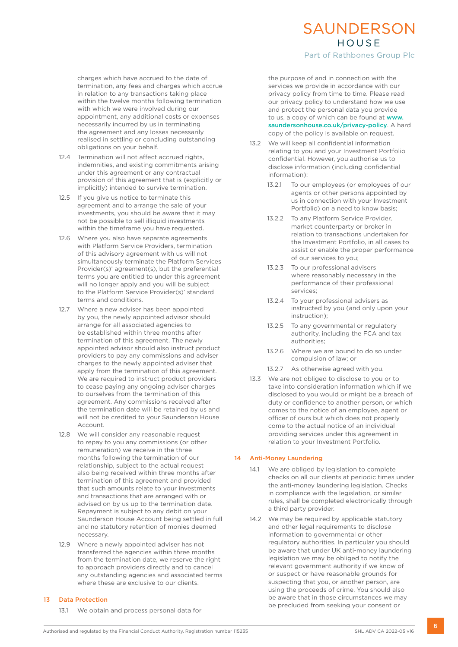charges which have accrued to the date of termination, any fees and charges which accrue in relation to any transactions taking place within the twelve months following termination with which we were involved during our appointment, any additional costs or expenses necessarily incurred by us in terminating the agreement and any losses necessarily realised in settling or concluding outstanding obligations on your behalf.

- 12.4 Termination will not affect accrued rights, indemnities, and existing commitments arising under this agreement or any contractual provision of this agreement that is (explicitly or implicitly) intended to survive termination.
- 12.5 If you give us notice to terminate this agreement and to arrange the sale of your investments, you should be aware that it may not be possible to sell illiquid investments within the timeframe you have requested.
- 12.6 Where you also have separate agreements with Platform Service Providers, termination of this advisory agreement with us will not simultaneously terminate the Platform Services Provider(s)' agreement(s), but the preferential terms you are entitled to under this agreement will no longer apply and you will be subject to the Platform Service Provider(s)' standard terms and conditions.
- 12.7 Where a new adviser has been appointed by you, the newly appointed advisor should arrange for all associated agencies to be established within three months after termination of this agreement. The newly appointed advisor should also instruct product providers to pay any commissions and adviser charges to the newly appointed adviser that apply from the termination of this agreement. We are required to instruct product providers to cease paying any ongoing adviser charges to ourselves from the termination of this agreement. Any commissions received after the termination date will be retained by us and will not be credited to your Saunderson House Account.
- 12.8 We will consider any reasonable request to repay to you any commissions (or other remuneration) we receive in the three months following the termination of our relationship, subject to the actual request also being received within three months after termination of this agreement and provided that such amounts relate to your investments and transactions that are arranged with or advised on by us up to the termination date. Repayment is subject to any debit on your Saunderson House Account being settled in full and no statutory retention of monies deemed necessary.
- 12.9 Where a newly appointed adviser has not transferred the agencies within three months from the termination date, we reserve the right to approach providers directly and to cancel any outstanding agencies and associated terms where these are exclusive to our clients.

#### 13 Data Protection

13.1 We obtain and process personal data for

the purpose of and in connection with the services we provide in accordance with our privacy policy from time to time. Please read our privacy policy to understand how we use and protect the personal data you provide

SAUNDERSON HOUSE Part of Rathbones Group Plc

to us, a copy of which can be found at www. saundersonhouse.co.uk/privacy-policy. A hard copy of the policy is available on request.

- 13.2 We will keep all confidential information relating to you and your Investment Portfolio confidential. However, you authorise us to disclose information (including confidential information):
	- 13.2.1 To our employees (or employees of our agents or other persons appointed by us in connection with your Investment Portfolio) on a need to know basis;
	- 13.2.2 To any Platform Service Provider, market counterparty or broker in relation to transactions undertaken for the Investment Portfolio, in all cases to assist or enable the proper performance of our services to you;
	- 13.2.3 To our professional advisers where reasonably necessary in the performance of their professional services;
	- 13.2.4 To your professional advisers as instructed by you (and only upon your instruction);
	- 13.2.5 To any governmental or regulatory authority, including the FCA and tax authorities;
	- 13.2.6 Where we are bound to do so under compulsion of law; or
	- 13.2.7 As otherwise agreed with you.
- 13.3 We are not obliged to disclose to you or to take into consideration information which if we disclosed to you would or might be a breach of duty or confidence to another person, or which comes to the notice of an employee, agent or officer of ours but which does not properly come to the actual notice of an individual providing services under this agreement in relation to your Investment Portfolio.

#### 14 Anti-Money Laundering

- 14.1 We are obliged by legislation to complete checks on all our clients at periodic times under the anti-money laundering legislation. Checks in compliance with the legislation, or similar rules, shall be completed electronically through a third party provider.
- 14.2 We may be required by applicable statutory and other legal requirements to disclose information to governmental or other regulatory authorities. In particular you should be aware that under UK anti-money laundering legislation we may be obliged to notify the relevant government authority if we know of or suspect or have reasonable grounds for suspecting that you, or another person, are using the proceeds of crime. You should also be aware that in those circumstances we may be precluded from seeking your consent or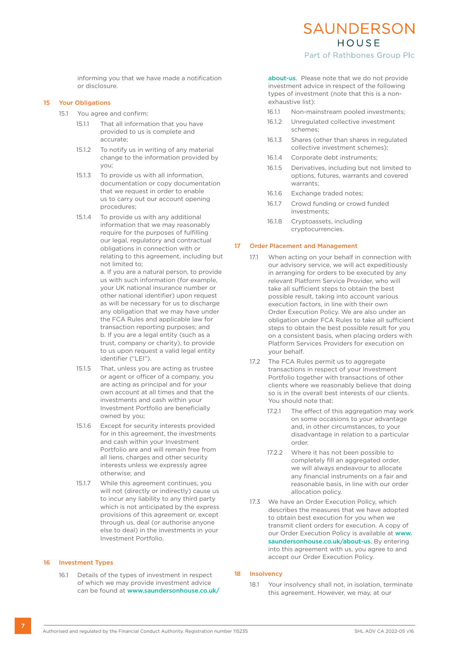Part of Rathbones Group Plc

informing you that we have made a notification or disclosure.

#### 15 Your Obligations

- 15.1 You agree and confirm:
	- 15.1.1 That all information that you have provided to us is complete and accurate;
	- 15.1.2 To notify us in writing of any material change to the information provided by you;
	- 15.1.3 To provide us with all information, documentation or copy documentation that we request in order to enable us to carry out our account opening procedures;
	- 15.1.4 To provide us with any additional information that we may reasonably require for the purposes of fulfilling our legal, regulatory and contractual obligations in connection with or relating to this agreement, including but not limited to;

a. If you are a natural person, to provide us with such information (for example, your UK national insurance number or other national identifier) upon request as will be necessary for us to discharge any obligation that we may have under the FCA Rules and applicable law for transaction reporting purposes; and b. If you are a legal entity (such as a trust, company or charity), to provide to us upon request a valid legal entity identifier ("LEI").

- 15.1.5 That, unless you are acting as trustee or agent or officer of a company, you are acting as principal and for your own account at all times and that the investments and cash within your Investment Portfolio are beneficially owned by you;
- 15.1.6 Except for security interests provided for in this agreement, the investments and cash within your Investment Portfolio are and will remain free from all liens, charges and other security interests unless we expressly agree otherwise; and
- 15.1.7 While this agreement continues, you will not (directly or indirectly) cause us to incur any liability to any third party which is not anticipated by the express provisions of this agreement or, except through us, deal (or authorise anyone else to deal) in the investments in your Investment Portfolio.

#### 16 Investment Types

16.1 Details of the types of investment in respect of which we may provide investment advice can be found at www.saundersonhouse.co.uk/

about-us. Please note that we do not provide investment advice in respect of the following types of investment (note that this is a nonexhaustive list):

- 16.1.1 Non-mainstream pooled investments;
- 16.1.2 Unregulated collective investment schemes;
- 16.1.3 Shares (other than shares in regulated collective investment schemes);
- 16.1.4 Corporate debt instruments;
- 16.1.5 Derivatives, including but not limited to options, futures, warrants and covered warrants;
- 16.1.6 Exchange traded notes;
- 16.1.7 Crowd funding or crowd funded investments;
- 16.1.8 Cryptoassets, including cryptocurrencies.

#### 17 Order Placement and Management

- 17.1 When acting on your behalf in connection with our advisory service, we will act expeditiously in arranging for orders to be executed by any relevant Platform Service Provider, who will take all sufficient steps to obtain the best possible result, taking into account various execution factors, in line with their own Order Execution Policy. We are also under an obligation under FCA Rules to take all sufficient steps to obtain the best possible result for you on a consistent basis, when placing orders with Platform Services Providers for execution on your behalf.
- 17.2 The FCA Rules permit us to aggregate transactions in respect of your Investment Portfolio together with transactions of other clients where we reasonably believe that doing so is in the overall best interests of our clients. You should note that:
	- 17.2.1 The effect of this aggregation may work on some occasions to your advantage and, in other circumstances, to your disadvantage in relation to a particular order.
	- 17.2.2 Where it has not been possible to completely fill an aggregated order, we will always endeavour to allocate any financial instruments on a fair and reasonable basis, in line with our order allocation policy.
- 17.3 We have an Order Execution Policy, which describes the measures that we have adopted to obtain best execution for you when we transmit client orders for execution. A copy of our Order Execution Policy is available at www. saundersonhouse.co.uk/about-us. By entering into this agreement with us, you agree to and accept our Order Execution Policy.

#### 18 Insolvency

18.1 Your insolvency shall not, in isolation, terminate this agreement. However, we may, at our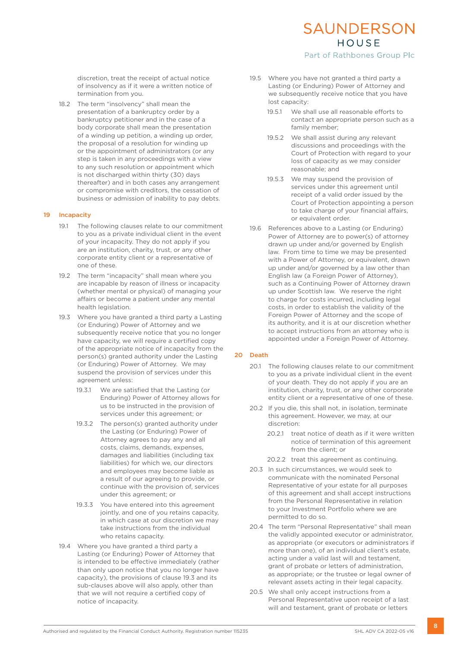#### discretion, treat the receipt of actual notice of insolvency as if it were a written notice of termination from you.

18.2 The term "insolvency" shall mean the presentation of a bankruptcy order by a bankruptcy petitioner and in the case of a body corporate shall mean the presentation of a winding up petition, a winding up order, the proposal of a resolution for winding up or the appointment of administrators (or any step is taken in any proceedings with a view to any such resolution or appointment which is not discharged within thirty (30) days thereafter) and in both cases any arrangement or compromise with creditors, the cessation of business or admission of inability to pay debts.

#### 19 Incapacity

- 19.1 The following clauses relate to our commitment to you as a private individual client in the event of your incapacity. They do not apply if you are an institution, charity, trust, or any other corporate entity client or a representative of one of these.
- 19.2 The term "incapacity" shall mean where you are incapable by reason of illness or incapacity (whether mental or physical) of managing your affairs or become a patient under any mental health legislation.
- 19.3 Where you have granted a third party a Lasting (or Enduring) Power of Attorney and we subsequently receive notice that you no longer have capacity, we will require a certified copy of the appropriate notice of incapacity from the person(s) granted authority under the Lasting (or Enduring) Power of Attorney. We may suspend the provision of services under this agreement unless:
	- 19.3.1 We are satisfied that the Lasting (or Enduring) Power of Attorney allows for us to be instructed in the provision of services under this agreement; or
	- 19.3.2 The person(s) granted authority under the Lasting (or Enduring) Power of Attorney agrees to pay any and all costs, claims, demands, expenses, damages and liabilities (including tax liabilities) for which we, our directors and employees may become liable as a result of our agreeing to provide, or continue with the provision of, services under this agreement; or
	- 19.3.3 You have entered into this agreement jointly, and one of you retains capacity, in which case at our discretion we may take instructions from the individual who retains capacity.
- 19.4 Where you have granted a third party a Lasting (or Enduring) Power of Attorney that is intended to be effective immediately (rather than only upon notice that you no longer have capacity), the provisions of clause 19.3 and its sub-clauses above will also apply, other than that we will not require a certified copy of notice of incapacity.
- 19.5 Where you have not granted a third party a Lasting (or Enduring) Power of Attorney and we subsequently receive notice that you have lost capacity:
	- 19.5.1 We shall use all reasonable efforts to contact an appropriate person such as a family member;

SAUNDERSON HOUSE Part of Rathbones Group Plc

- 19.5.2 We shall assist during any relevant discussions and proceedings with the Court of Protection with regard to your loss of capacity as we may consider reasonable; and
- 19.5.3 We may suspend the provision of services under this agreement until receipt of a valid order issued by the Court of Protection appointing a person to take charge of your financial affairs, or equivalent order.
- 19.6 References above to a Lasting (or Enduring) Power of Attorney are to power(s) of attorney drawn up under and/or governed by English law. From time to time we may be presented with a Power of Attorney, or equivalent, drawn up under and/or governed by a law other than English law (a Foreign Power of Attorney), such as a Continuing Power of Attorney drawn up under Scottish law. We reserve the right to charge for costs incurred, including legal costs, in order to establish the validity of the Foreign Power of Attorney and the scope of its authority, and it is at our discretion whether to accept instructions from an attorney who is appointed under a Foreign Power of Attorney.

#### 20 Death

- 20.1 The following clauses relate to our commitment to you as a private individual client in the event of your death. They do not apply if you are an institution, charity, trust, or any other corporate entity client or a representative of one of these.
- 20.2 If you die, this shall not, in isolation, terminate this agreement. However, we may, at our discretion:
	- 20.2.1 treat notice of death as if it were written notice of termination of this agreement from the client; or
	- 20.2.2 treat this agreement as continuing.
- 20.3 In such circumstances, we would seek to communicate with the nominated Personal Representative of your estate for all purposes of this agreement and shall accept instructions from the Personal Representative in relation to your Investment Portfolio where we are permitted to do so.
- 20.4 The term "Personal Representative" shall mean the validly appointed executor or administrator, as appropriate (or executors or administrators if more than one), of an individual client's estate, acting under a valid last will and testament, grant of probate or letters of administration, as appropriate; or the trustee or legal owner of relevant assets acting in their legal capacity.
- 20.5 We shall only accept instructions from a Personal Representative upon receipt of a last will and testament, grant of probate or letters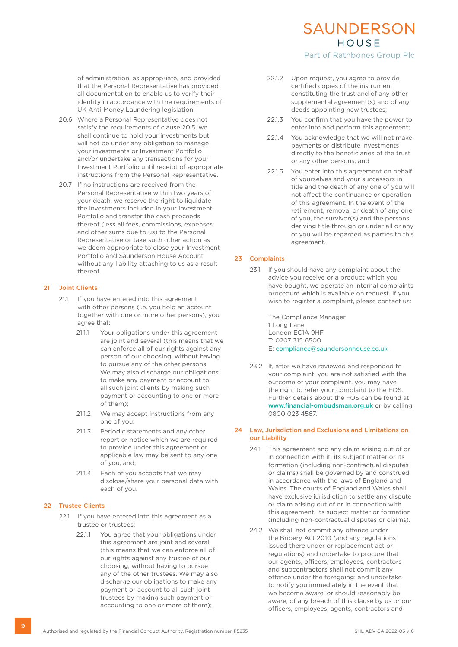of administration, as appropriate, and provided that the Personal Representative has provided all documentation to enable us to verify their identity in accordance with the requirements of UK Anti-Money Laundering legislation.

- 20.6 Where a Personal Representative does not satisfy the requirements of clause 20.5, we shall continue to hold your investments but will not be under any obligation to manage your investments or Investment Portfolio and/or undertake any transactions for your Investment Portfolio until receipt of appropriate instructions from the Personal Representative.
- 20.7 If no instructions are received from the Personal Representative within two years of your death, we reserve the right to liquidate the investments included in your Investment Portfolio and transfer the cash proceeds thereof (less all fees, commissions, expenses and other sums due to us) to the Personal Representative or take such other action as we deem appropriate to close your Investment Portfolio and Saunderson House Account without any liability attaching to us as a result thereof.

#### 21 Joint Clients

- 21.1 If you have entered into this agreement with other persons (i.e. you hold an account together with one or more other persons), you agree that:
	- 21.1.1 Your obligations under this agreement are joint and several (this means that we can enforce all of our rights against any person of our choosing, without having to pursue any of the other persons. We may also discharge our obligations to make any payment or account to all such joint clients by making such payment or accounting to one or more of them);
	- 21.1.2 We may accept instructions from any one of you;
	- 21.1.3 Periodic statements and any other report or notice which we are required to provide under this agreement or applicable law may be sent to any one of you, and;
	- 21.1.4 Each of you accepts that we may disclose/share your personal data with each of you.

#### 22 Trustee Clients

- 22.1 If you have entered into this agreement as a trustee or trustees:
	- 22.1.1 You agree that your obligations under this agreement are joint and several (this means that we can enforce all of our rights against any trustee of our choosing, without having to pursue any of the other trustees. We may also discharge our obligations to make any payment or account to all such joint trustees by making such payment or accounting to one or more of them);

#### 22.1.2 Upon request, you agree to provide certified copies of the instrument constituting the trust and of any other supplemental agreement(s) and of any deeds appointing new trustees;

SAUNDERSON HOUSE Part of Rathbones Group Plc

- 22.1.3 You confirm that you have the power to enter into and perform this agreement;
- 22.1.4 You acknowledge that we will not make payments or distribute investments directly to the beneficiaries of the trust or any other persons; and
- 22.1.5 You enter into this agreement on behalf of yourselves and your successors in title and the death of any one of you will not affect the continuance or operation of this agreement. In the event of the retirement, removal or death of any one of you, the survivor(s) and the persons deriving title through or under all or any of you will be regarded as parties to this agreement.

#### 23 Complaints

23.1 If you should have any complaint about the advice you receive or a product which you have bought, we operate an internal complaints procedure which is available on request. If you wish to register a complaint, please contact us:

> The Compliance Manager 1 Long Lane London EC1A 9HF T: 0207 315 6500 E: compliance@saundersonhouse.co.uk

23.2 If, after we have reviewed and responded to your complaint, you are not satisfied with the outcome of your complaint, you may have the right to refer your complaint to the FOS. Further details about the FOS can be found at www.financial-ombudsman.org.uk or by calling 0800 023 4567.

#### 24 Law, Jurisdiction and Exclusions and Limitations on our Liability

- 24.1 This agreement and any claim arising out of or in connection with it, its subject matter or its formation (including non-contractual disputes or claims) shall be governed by and construed in accordance with the laws of England and Wales. The courts of England and Wales shall have exclusive jurisdiction to settle any dispute or claim arising out of or in connection with this agreement, its subject matter or formation (including non-contractual disputes or claims).
- 24.2 We shall not commit any offence under the Bribery Act 2010 (and any regulations issued there under or replacement act or regulations) and undertake to procure that our agents, officers, employees, contractors and subcontractors shall not commit any offence under the foregoing; and undertake to notify you immediately in the event that we become aware, or should reasonably be aware, of any breach of this clause by us or our officers, employees, agents, contractors and